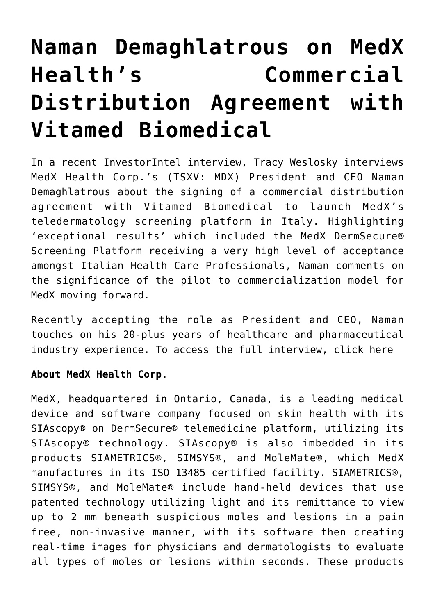## **[Naman Demaghlatrous on MedX](https://investorintel.com/investorintel-video/naman-demaghlatrous-on-medx-healths-commercial-distribution-agreement-with-vitamed-biomedical/) [Health's Commercial](https://investorintel.com/investorintel-video/naman-demaghlatrous-on-medx-healths-commercial-distribution-agreement-with-vitamed-biomedical/) [Distribution Agreement with](https://investorintel.com/investorintel-video/naman-demaghlatrous-on-medx-healths-commercial-distribution-agreement-with-vitamed-biomedical/) [Vitamed Biomedical](https://investorintel.com/investorintel-video/naman-demaghlatrous-on-medx-healths-commercial-distribution-agreement-with-vitamed-biomedical/)**

In a recent InvestorIntel interview, Tracy Weslosky interviews [MedX Health Corp.](https://medxhealth.com/)'s (TSXV: MDX) President and CEO Naman Demaghlatrous about the [signing](https://investorintel.com/markets/biotech-healthcare/biotech-news/medx-health-corp-signs-commercial-distribution-agreement-with-vitamed-biomedical-to-launch-medxs-teledermatology-screening-platform-in-italy/) of a commercial distribution agreement with Vitamed Biomedical to launch MedX's teledermatology screening platform in Italy. Highlighting 'exceptional results' which included the MedX DermSecure® Screening Platform receiving a very high level of acceptance amongst Italian Health Care Professionals, Naman comments on the significance of the pilot to commercialization model for MedX moving forward.

Recently accepting the role as President and CEO, Naman touches on his 20-plus years of healthcare and pharmaceutical industry experience. To access the full interview, [click here](https://youtu.be/VjFOSsWu2Lc)

## **About MedX Health Corp.**

MedX, headquartered in Ontario, Canada, is a leading medical device and software company focused on skin health with its SIAscopy® on DermSecure® telemedicine platform, utilizing its SIAscopy® technology. SIAscopy® is also imbedded in its products SIAMETRICS®, SIMSYS®, and MoleMate®, which MedX manufactures in its ISO 13485 certified facility. SIAMETRICS®, SIMSYS®, and MoleMate® include hand-held devices that use patented technology utilizing light and its remittance to view up to 2 mm beneath suspicious moles and lesions in a pain free, non-invasive manner, with its software then creating real-time images for physicians and dermatologists to evaluate all types of moles or lesions within seconds. These products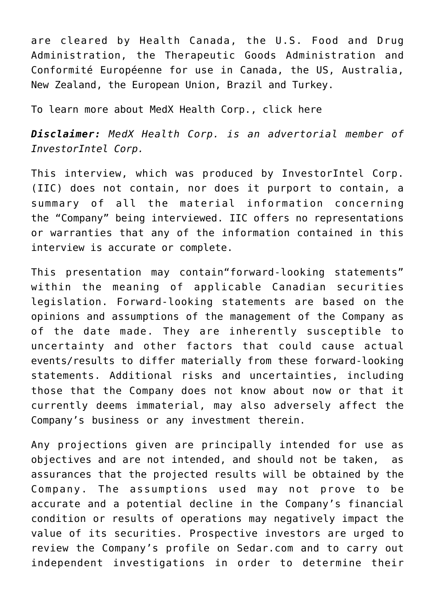are cleared by Health Canada, the U.S. Food and Drug Administration, the Therapeutic Goods Administration and Conformité Européenne for use in Canada, the US, Australia, New Zealand, the European Union, Brazil and Turkey.

To learn more about MedX Health Corp., [click here](https://medxhealth.com/)

*Disclaimer: MedX Health Corp. is an advertorial member of InvestorIntel Corp.*

This interview, which was produced by InvestorIntel Corp. (IIC) does not contain, nor does it purport to contain, a summary of all the material information concerning the "Company" being interviewed. IIC offers no representations or warranties that any of the information contained in this interview is accurate or complete.

This presentation may contain"forward-looking statements" within the meaning of applicable Canadian securities legislation. Forward-looking statements are based on the opinions and assumptions of the management of the Company as of the date made. They are inherently susceptible to uncertainty and other factors that could cause actual events/results to differ materially from these forward-looking statements. Additional risks and uncertainties, including those that the Company does not know about now or that it currently deems immaterial, may also adversely affect the Company's business or any investment therein.

Any projections given are principally intended for use as objectives and are not intended, and should not be taken, as assurances that the projected results will be obtained by the Company. The assumptions used may not prove to be accurate and a potential decline in the Company's financial condition or results of operations may negatively impact the value of its securities. Prospective investors are urged to review the Company's profile on [Sedar.com](http://www.sedar.com/) and to carry out independent investigations in order to determine their